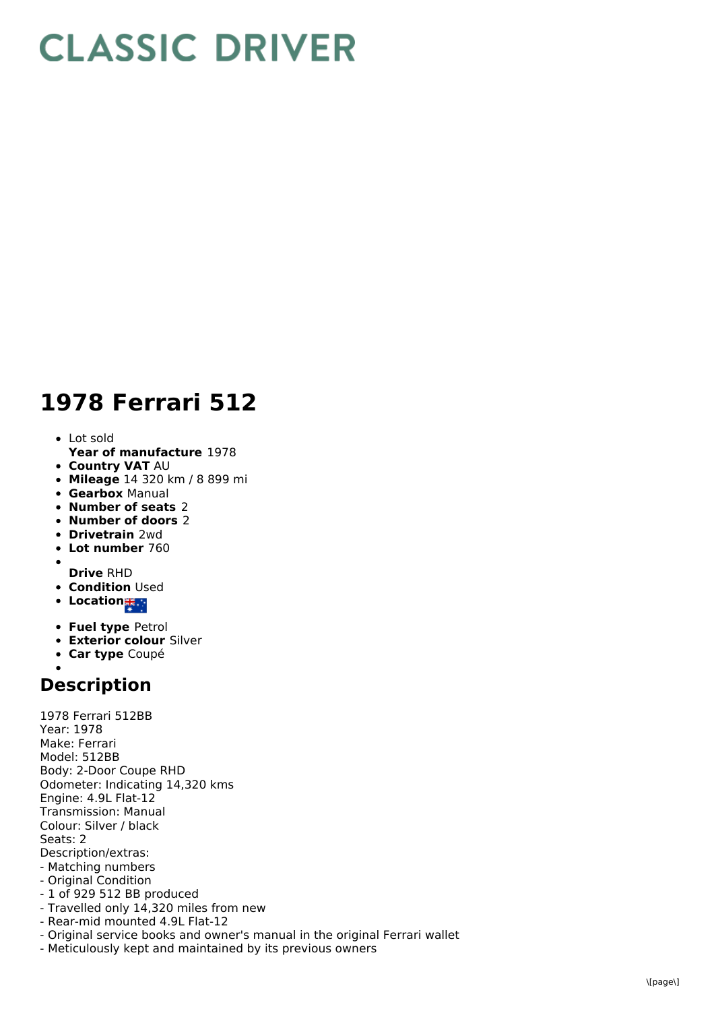## **CLASSIC DRIVER**

## **1978 Ferrari 512**

- Lot sold
- **Year of manufacture** 1978
- **Country VAT** AU
- **Mileage** 14 320 km / 8 899 mi
- **Gearbox** Manual
- **Number of seats** 2
- **Number of doors** 2
- **Drivetrain** 2wd
- **Lot number** 760
- **Drive** RHD
- **Condition Used**
- **•** Location
- 
- **Fuel type** Petrol
- **Exterior colour** Silver
- **Car type** Coupé

## **Description**

1978 Ferrari 512BB Year: 1978 Make: Ferrari Model: 512BB Body: 2-Door Coupe RHD Odometer: Indicating 14,320 kms Engine: 4.9L Flat-12 Transmission: Manual Colour: Silver / black Seats: 2 Description/extras: - Matching numbers - Original Condition - 1 of 929 512 BB produced - Travelled only 14,320 miles from new - Rear-mid mounted 4.9L Flat-12 - Original service books and owner's manual in the original Ferrari wallet

- Meticulously kept and maintained by its previous owners